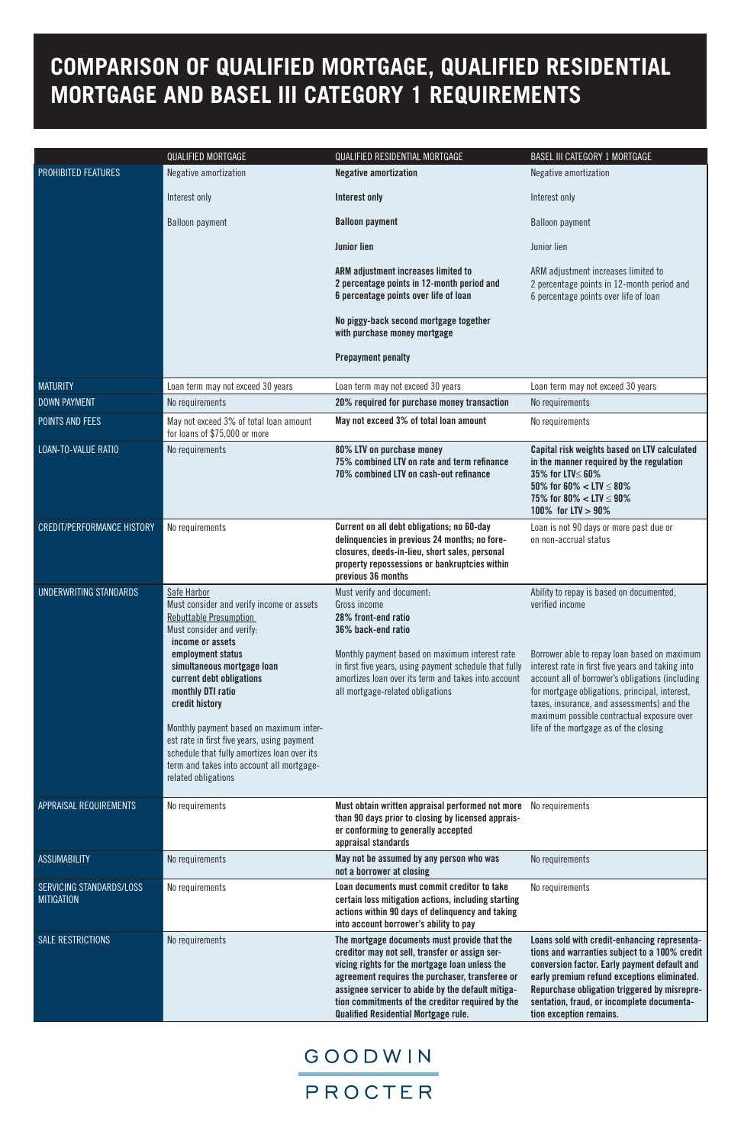|                                               | QUALIFIED MORTGAGE                                                                                                                                                                                                                                                                                                                                                                                                                                                            | QUALIFIED RESIDENTIAL MORTGAGE                                                                                                                                                                                                                                                                                                                              | <b>BASEL III CATEGORY 1 MORTGAGE</b>                                                                                                                                                                                                                                                                                                                                                                         |
|-----------------------------------------------|-------------------------------------------------------------------------------------------------------------------------------------------------------------------------------------------------------------------------------------------------------------------------------------------------------------------------------------------------------------------------------------------------------------------------------------------------------------------------------|-------------------------------------------------------------------------------------------------------------------------------------------------------------------------------------------------------------------------------------------------------------------------------------------------------------------------------------------------------------|--------------------------------------------------------------------------------------------------------------------------------------------------------------------------------------------------------------------------------------------------------------------------------------------------------------------------------------------------------------------------------------------------------------|
| <b>PROHIBITED FEATURES</b>                    | Negative amortization                                                                                                                                                                                                                                                                                                                                                                                                                                                         | <b>Negative amortization</b>                                                                                                                                                                                                                                                                                                                                | Negative amortization                                                                                                                                                                                                                                                                                                                                                                                        |
|                                               | Interest only                                                                                                                                                                                                                                                                                                                                                                                                                                                                 | <b>Interest only</b>                                                                                                                                                                                                                                                                                                                                        | Interest only                                                                                                                                                                                                                                                                                                                                                                                                |
|                                               | <b>Balloon payment</b>                                                                                                                                                                                                                                                                                                                                                                                                                                                        | <b>Balloon payment</b>                                                                                                                                                                                                                                                                                                                                      | <b>Balloon payment</b>                                                                                                                                                                                                                                                                                                                                                                                       |
|                                               |                                                                                                                                                                                                                                                                                                                                                                                                                                                                               | <b>Junior lien</b>                                                                                                                                                                                                                                                                                                                                          | Junior lien                                                                                                                                                                                                                                                                                                                                                                                                  |
|                                               |                                                                                                                                                                                                                                                                                                                                                                                                                                                                               | ARM adjustment increases limited to<br>2 percentage points in 12-month period and<br>6 percentage points over life of loan                                                                                                                                                                                                                                  | ARM adjustment increases limited to<br>2 percentage points in 12-month period and<br>6 percentage points over life of loan                                                                                                                                                                                                                                                                                   |
|                                               |                                                                                                                                                                                                                                                                                                                                                                                                                                                                               | No piggy-back second mortgage together<br>with purchase money mortgage                                                                                                                                                                                                                                                                                      |                                                                                                                                                                                                                                                                                                                                                                                                              |
|                                               |                                                                                                                                                                                                                                                                                                                                                                                                                                                                               | <b>Prepayment penalty</b>                                                                                                                                                                                                                                                                                                                                   |                                                                                                                                                                                                                                                                                                                                                                                                              |
| <b>MATURITY</b>                               | Loan term may not exceed 30 years                                                                                                                                                                                                                                                                                                                                                                                                                                             | Loan term may not exceed 30 years                                                                                                                                                                                                                                                                                                                           | Loan term may not exceed 30 years                                                                                                                                                                                                                                                                                                                                                                            |
| <b>DOWN PAYMENT</b>                           | No requirements                                                                                                                                                                                                                                                                                                                                                                                                                                                               | 20% required for purchase money transaction                                                                                                                                                                                                                                                                                                                 | No requirements                                                                                                                                                                                                                                                                                                                                                                                              |
| POINTS AND FEES                               | May not exceed 3% of total loan amount<br>for loans of \$75,000 or more                                                                                                                                                                                                                                                                                                                                                                                                       | May not exceed 3% of total loan amount                                                                                                                                                                                                                                                                                                                      | No requirements                                                                                                                                                                                                                                                                                                                                                                                              |
| LOAN-TO-VALUE RATIO                           | No requirements                                                                                                                                                                                                                                                                                                                                                                                                                                                               | 80% LTV on purchase money<br>75% combined LTV on rate and term refinance<br>70% combined LTV on cash-out refinance                                                                                                                                                                                                                                          | Capital risk weights based on LTV calculated<br>in the manner required by the regulation<br>35% for LTV≤ 60%<br>50% for 60% $\lt$ LTV $\leq$ 80%<br>75% for 80% $\lt$ LTV $\leq$ 90%<br>100% for LTV > 90%                                                                                                                                                                                                   |
| <b>CREDIT/PERFORMANCE HISTORY</b>             | No requirements                                                                                                                                                                                                                                                                                                                                                                                                                                                               | Current on all debt obligations; no 60-day<br>delinquencies in previous 24 months; no fore-<br>closures, deeds-in-lieu, short sales, personal<br>property repossessions or bankruptcies within<br>previous 36 months                                                                                                                                        | Loan is not 90 days or more past due or<br>on non-accrual status                                                                                                                                                                                                                                                                                                                                             |
| UNDERWRITING STANDARDS                        | Safe Harbor<br>Must consider and verify income or assets<br><b>Rebuttable Presumption</b><br>Must consider and verify:<br>income or assets<br>employment status<br>simultaneous mortgage loan<br>current debt obligations<br>monthly DTI ratio<br>credit history<br>Monthly payment based on maximum inter-<br>est rate in first five years, using payment<br>schedule that fully amortizes loan over its<br>term and takes into account all mortgage-<br>related obligations | Must verify and document:<br>Gross income<br>28% front-end ratio<br>36% back-end ratio<br>Monthly payment based on maximum interest rate<br>in first five years, using payment schedule that fully<br>amortizes loan over its term and takes into account<br>all mortgage-related obligations                                                               | Ability to repay is based on documented,<br>verified income<br>Borrower able to repay loan based on maximum<br>interest rate in first five years and taking into<br>account all of borrower's obligations (including<br>for mortgage obligations, principal, interest,<br>taxes, insurance, and assessments) and the<br>maximum possible contractual exposure over<br>life of the mortgage as of the closing |
| APPRAISAL REQUIREMENTS                        | No requirements                                                                                                                                                                                                                                                                                                                                                                                                                                                               | Must obtain written appraisal performed not more<br>than 90 days prior to closing by licensed apprais-<br>er conforming to generally accepted<br>appraisal standards                                                                                                                                                                                        | No requirements                                                                                                                                                                                                                                                                                                                                                                                              |
| <b>ASSUMABILITY</b>                           | No requirements                                                                                                                                                                                                                                                                                                                                                                                                                                                               | May not be assumed by any person who was<br>not a borrower at closing                                                                                                                                                                                                                                                                                       | No requirements                                                                                                                                                                                                                                                                                                                                                                                              |
| SERVICING STANDARDS/LOSS<br><b>MITIGATION</b> | No requirements                                                                                                                                                                                                                                                                                                                                                                                                                                                               | Loan documents must commit creditor to take<br>certain loss mitigation actions, including starting<br>actions within 90 days of delinquency and taking<br>into account borrower's ability to pay                                                                                                                                                            | No requirements                                                                                                                                                                                                                                                                                                                                                                                              |
| <b>SALE RESTRICTIONS</b>                      | No requirements                                                                                                                                                                                                                                                                                                                                                                                                                                                               | The mortgage documents must provide that the<br>creditor may not sell, transfer or assign ser-<br>vicing rights for the mortgage loan unless the<br>agreement requires the purchaser, transferee or<br>assignee servicer to abide by the default mitiga-<br>tion commitments of the creditor required by the<br><b>Qualified Residential Mortgage rule.</b> | Loans sold with credit-enhancing representa-<br>tions and warranties subject to a 100% credit<br>conversion factor. Early payment default and<br>early premium refund exceptions eliminated.<br>Repurchase obligation triggered by misrepre-<br>sentation, fraud, or incomplete documenta-<br>tion exception remains.                                                                                        |

## GOODWIN

## PROCTER

## **Comparison of Qualified MOrtgage, Qualified residential Mortgage and Basel III Category 1 Requirements**